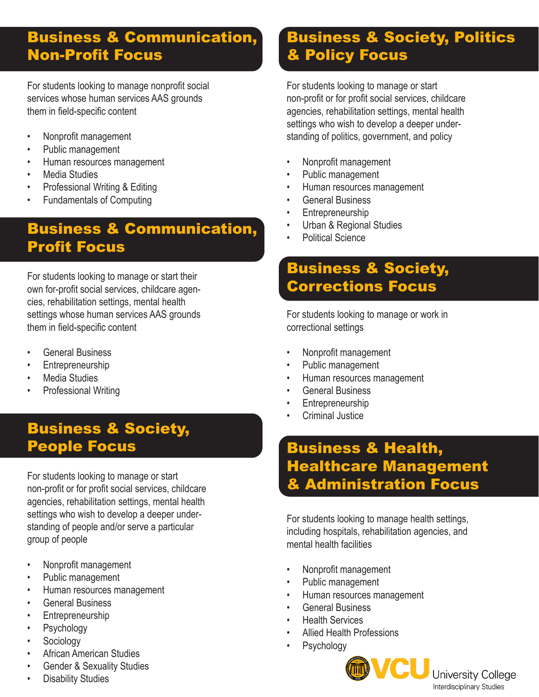#### Business & Communication, Non-Profit Focus

For students looking to manage nonprofit social services whose human services AAS grounds them in field-specific content

- Nonprofit management
- Public management
- Human resources management
- Media Studies
- Professional Writing & Editing
- Fundamentals of Computing

#### Business & Communication, Profit Focus

For students looking to manage or start their own for-profit social services, childcare agencies, rehabilitation settings, mental health settings whose human services AAS grounds them in field-specific content

- General Business
- Entrepreneurship
- Media Studies
- Professional Writing

#### Business & Society, People Focus

For students looking to manage or start non-profit or for profit social services, childcare agencies, rehabilitation settings, mental health settings who wish to develop a deeper understanding of people and/or serve a particular group of people

- Nonprofit management
- Public management
- Human resources management
- General Business
- **Entrepreneurship**
- **Psychology**
- **Sociology**
- African American Studies
- Gender & Sexuality Studies
- **Disability Studies**

#### Business & Society, Politics & Policy Focus

For students looking to manage or start non-profit or for profit social services, childcare agencies, rehabilitation settings, mental health settings who wish to develop a deeper understanding of politics, government, and policy

- Nonprofit management
- Public management
- Human resources management
- General Business
- **Entrepreneurship**
- Urban & Regional Studies
- **Political Science**

#### Business & Society, Corrections Focus

For students looking to manage or work in correctional settings

- Nonprofit management
- Public management
- Human resources management
- General Business
- Entrepreneurship
- Criminal Justice

#### Business & Health, Healthcare Management & Administration Focus

For students looking to manage health settings, including hospitals, rehabilitation agencies, and mental health facilities

- Nonprofit management
- Public management
- Human resources management
- General Business
- Health Services
- Allied Health Professions
- **Psychology**